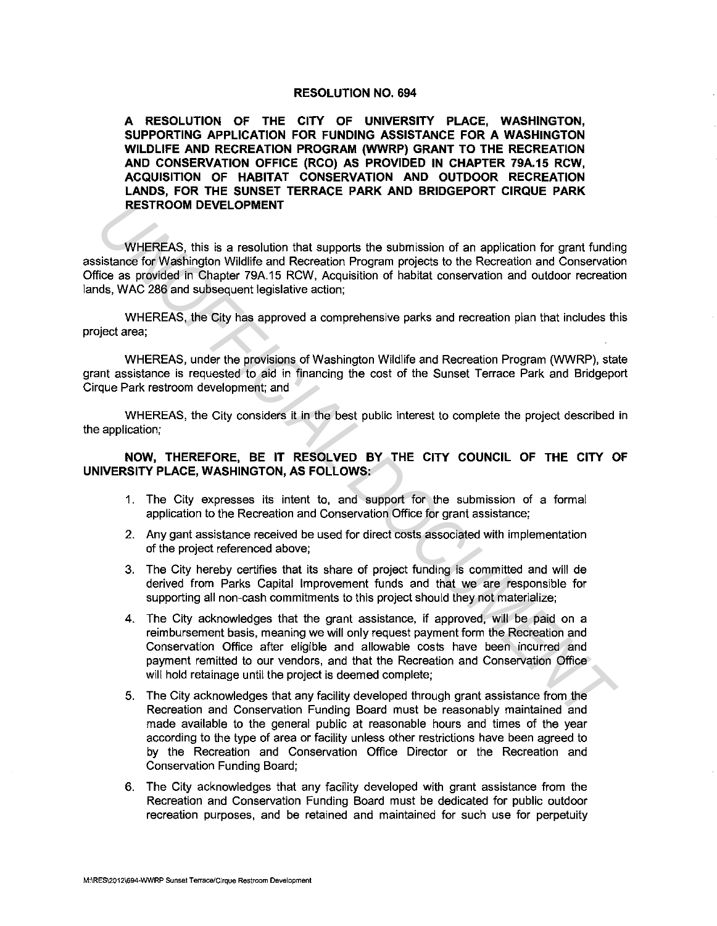## **RESOLUTION NO. 694**

**A RESOLUTION OF THE CITY OF UNIVERSITY PLACE, WASHINGTON, SUPPORTING APPLICATION FOR FUNDING ASSISTANCE FOR A WASHINGTON WILDLIFE AND RECREATION PROGRAM (WWRP) GRANT TO THE RECREATION AND CONSERVATION OFFICE (RCO) AS PROVIDED IN CHAPTER 79A.15 RCW, ACQUISITION OF HABITAT CONSERVATION AND OUTDOOR RECREATION LANDS, FOR THE SUNSET TERRACE PARK AND BRIDGEPORT CIRQUE PARK RESTROOM DEVELOPMENT** 

WHEREAS, this is a resolution that supports the submission of an application for grant funding assistance for Washington Wildlife and Recreation Program projects to the Recreation and Conservation Office as provided in Chapter 79A.15 RCW, Acquisition of habitat conservation and outdoor recreation lands, WAC 286 and subsequent legislative action;

WHEREAS, the City has approved a comprehensive parks and recreation plan that includes this project area;

WHEREAS, under the provisions of Washington Wildlife and Recreation Program (WWRP), state grant assistance is requested to aid in financing the cost of the Sunset Terrace Park and Bridgeport Cirque Park restroom development; and

WHEREAS, the City considers it in the best public interest to complete the project described in the application;

**NOW, THEREFORE, BE IT RESOLVED BY THE CITY COUNCIL OF THE CITY OF UNIVERSITY PLACE, WASHINGTON, AS FOLLOWS:** 

- 1. The City expresses its intent to, and support for the submission of a formal application to the Recreation and Conservation Office for grant assistance;
- 2. Any gant assistance received be used for direct costs associated with implementation of the project referenced above;
- 3. The City hereby certifies that its share of project funding is committed and will de derived from Parks Capital Improvement funds and that we are responsible for supporting all non-cash commitments to this project should they not materialize;
- 4. The City acknowledges that the grant assistance, if approved, will be paid on a reimbursement basis, meaning we will only request payment form the Recreation and Conservation Office after eligible and allowable costs have been incurred and payment remitted to our vendors, and that the Recreation and Conservation Office will hold retainage until the project is deemed complete; **INTEREAS, this is a resolution that supports the submission of an application for grant funding<br>
WHEREAS, this is a resolution that supports the submission of an application for grant funding<br>
fisionce for Washington Wild** 
	- 5. The City acknowledges that any facility developed through grant assistance from the Recreation and Conservation Funding Board must be reasonably maintained and made available to the general public at reasonable hours and times of the year according to the type of area or facility unless other restrictions have been agreed to by the Recreation and Conservation Office Director or the Recreation and Conservation Funding Board;
	- 6. The City acknowledges that any facility developed with grant assistance from the Recreation and Conservation Funding Board must be dedicated for public outdoor recreation purposes, and be retained and maintained for such use for perpetuity